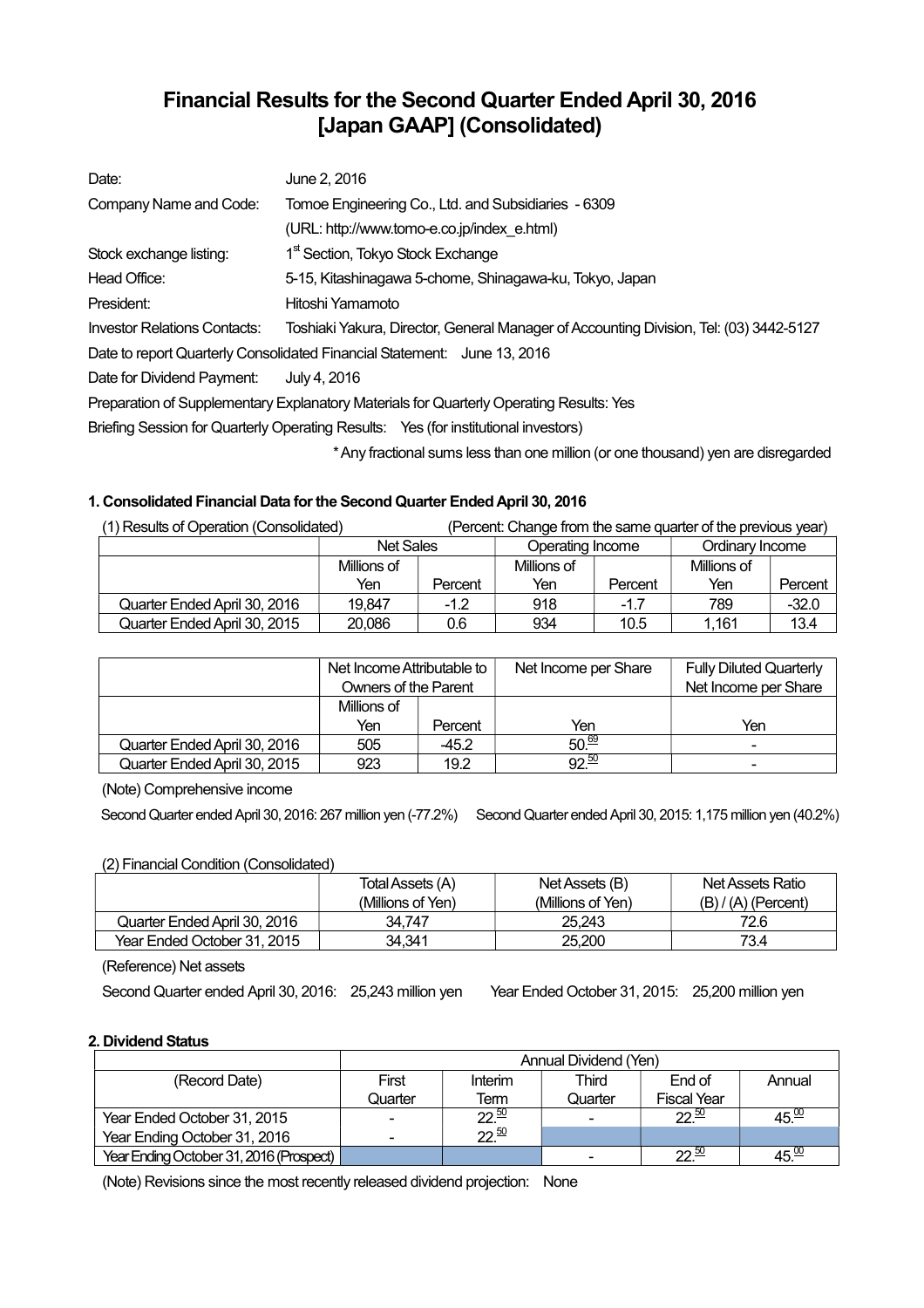# **Financial Results for the Second Quarter Ended April 30, 2016 [Japan GAAP] (Consolidated)**

| Date:                               | June 2, 2016                                                                            |
|-------------------------------------|-----------------------------------------------------------------------------------------|
| Company Name and Code:              | Tomoe Engineering Co., Ltd. and Subsidiaries - 6309                                     |
|                                     | (URL: http://www.tomo-e.co.jp/index e.html)                                             |
| Stock exchange listing:             | 1 <sup>st</sup> Section, Tokyo Stock Exchange                                           |
| Head Office:                        | 5-15, Kitashinagawa 5-chome, Shinagawa-ku, Tokyo, Japan                                 |
| President:                          | Hitoshi Yamamoto                                                                        |
| <b>Investor Relations Contacts:</b> | Toshiaki Yakura, Director, General Manager of Accounting Division, Tel: (03) 3442-5127  |
|                                     | Date to report Quarterly Consolidated Financial Statement: June 13, 2016                |
| Date for Dividend Payment:          | July 4, 2016                                                                            |
|                                     | Preparation of Supplementary Explanatory Materials for Quarterly Operating Results: Yes |
|                                     | Briefing Session for Quarterly Operating Results: Yes (for institutional investors)     |
|                                     | * Any fractional sums less than one million (or one thousand) yen are disregarded       |

## **1. Consolidated Financial Data for the Second Quarter Ended April 30, 2016**

| (1) Results of Operation (Consolidated) |                  |         | (Percent: Change from the same quarter of the previous year) |         |                 |         |
|-----------------------------------------|------------------|---------|--------------------------------------------------------------|---------|-----------------|---------|
|                                         | <b>Net Sales</b> |         | Operating Income                                             |         | Ordinary Income |         |
|                                         | Millions of      |         | Millions of                                                  |         | Millions of     |         |
|                                         | Yen              | Percent | Yen                                                          | Percent | Yen             | Percent |
| Quarter Ended April 30, 2016            | 19.847           | $-1.2$  | 918                                                          | $-1.7$  | 789             | $-32.0$ |
| Quarter Ended April 30, 2015            | 20.086           | 0.6     | 934                                                          | 10.5    | 1.161           | 13.4    |

|                              | Net Income Attributable to<br>Owners of the Parent |         | Net Income per Share | <b>Fully Diluted Quarterly</b><br>Net Income per Share |
|------------------------------|----------------------------------------------------|---------|----------------------|--------------------------------------------------------|
|                              | Millions of                                        |         |                      |                                                        |
|                              | Yen                                                | Percent | Yen                  | Yen                                                    |
| Quarter Ended April 30, 2016 | 505                                                | $-45.2$ | $50\frac{69}{ }$     | $\overline{\phantom{0}}$                               |
| Quarter Ended April 30, 2015 | 923                                                | 19.2    | 92.50                | -                                                      |

(Note) Comprehensive income

Second Quarter ended April 30, 2016: 267 million yen (-77.2%) Second Quarter ended April 30, 2015: 1,175 million yen (40.2%)

## (2) Financial Condition (Consolidated)

|                              | Total Assets (A)  | Net Assets (B)    | Net Assets Ratio      |
|------------------------------|-------------------|-------------------|-----------------------|
|                              | (Millions of Yen) | (Millions of Yen) | $(B) / (A)$ (Percent) |
| Quarter Ended April 30, 2016 | 34.747            | 25.243            | 72.6                  |
| Year Ended October 31, 2015  | 34.341            | 25.200            | 73.4                  |

(Reference) Net assets

Second Quarter ended April 30, 2016: 25,243 million yen Year Ended October 31, 2015: 25,200 million yen

## **2. Dividend Status**

|                                         | Annual Dividend (Yen) |                  |         |                    |                   |  |
|-----------------------------------------|-----------------------|------------------|---------|--------------------|-------------------|--|
| (Record Date)                           | First                 | Interim          | Third   | End of             | Annual            |  |
|                                         | Quarter               | Term             | Quarter | <b>Fiscal Year</b> |                   |  |
| Year Ended October 31, 2015             |                       | $22^{50}$        |         | $22\frac{50}{2}$   | 45.00             |  |
| Year Ending October 31, 2016            |                       | $22\frac{50}{2}$ |         |                    |                   |  |
| Year Ending October 31, 2016 (Prospect) |                       |                  |         | າາ ≌               | $45\frac{60}{10}$ |  |

(Note) Revisions since the most recently released dividend projection: None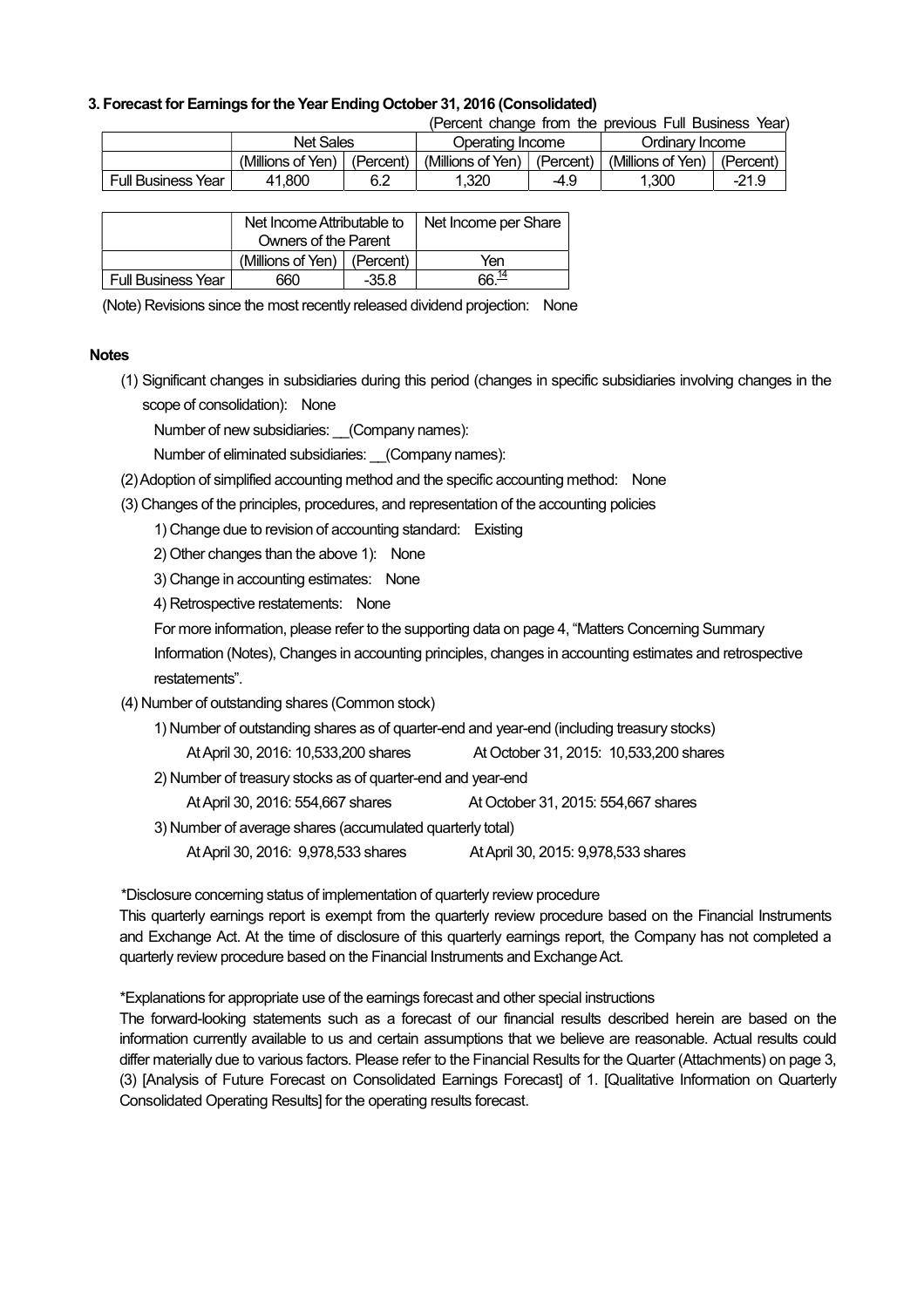### **3. Forecast for Earnings for the Year Ending October 31, 2016 (Consolidated)**

(Percent change from the previous Full Business Year)

|                    | <b>Net Sales</b>  |           |                   | Operating Income |                   | Ordinarv Income |  |
|--------------------|-------------------|-----------|-------------------|------------------|-------------------|-----------------|--|
|                    | (Millions of Yen) | (Percent) | (Millions of Yen) | (Percent)        | (Millions of Yen) | (Percent)       |  |
| Full Business Year | 41.800            | 6.2       | .320              | -4.9             | .300              | $-21.9$         |  |

|                           | Net Income Attributable to         |         | Net Income per Share |
|---------------------------|------------------------------------|---------|----------------------|
|                           | Owners of the Parent               |         |                      |
|                           | (Millions of Yen) $\mid$ (Percent) |         | Yen                  |
| <b>Full Business Year</b> | 660                                | $-35.8$ | 66. <sup>14</sup>    |

(Note) Revisions since the most recently released dividend projection: None

#### **Notes**

(1) Significant changes in subsidiaries during this period (changes in specific subsidiaries involving changes in the scope of consolidation): None

Number of new subsidiaries: \_\_(Company names):

Number of eliminated subsidiaries: (Company names):

- (2) Adoption of simplified accounting method and the specific accounting method: None
- (3) Changes of the principles, procedures, and representation of the accounting policies

1) Change due to revision of accounting standard: Existing

2) Other changes than the above 1): None

3) Change in accounting estimates: None

4) Retrospective restatements: None

For more information, please refer to the supporting data on page 4, "Matters Concerning Summary

Information (Notes), Changes in accounting principles, changes in accounting estimates and retrospective restatements".

## (4) Number of outstanding shares (Common stock)

- 1) Number of outstanding shares as of quarter-end and year-end (including treasury stocks)
	- At April 30, 2016: 10,533,200 shares At October 31, 2015: 10,533,200 shares

2) Number of treasury stocks as of quarter-end and year-end

At April 30, 2016: 554,667 shares At October 31, 2015: 554,667 shares

3) Number of average shares (accumulated quarterly total)

At April 30, 2016: 9,978,533 shares At April 30, 2015: 9,978,533 shares

\*Disclosure concerning status of implementation of quarterly review procedure

This quarterly earnings report is exempt from the quarterly review procedure based on the Financial Instruments and Exchange Act. At the time of disclosure of this quarterly earnings report, the Company has not completed a quarterly review procedure based on the Financial Instruments and Exchange Act.

\*Explanations for appropriate use of the earnings forecast and other special instructions

The forward-looking statements such as a forecast of our financial results described herein are based on the information currently available to us and certain assumptions that we believe are reasonable. Actual results could differ materially due to various factors. Please refer to the Financial Results for the Quarter (Attachments) on page 3, (3) [Analysis of Future Forecast on Consolidated Earnings Forecast] of 1. [Qualitative Information on Quarterly Consolidated Operating Results] for the operating results forecast.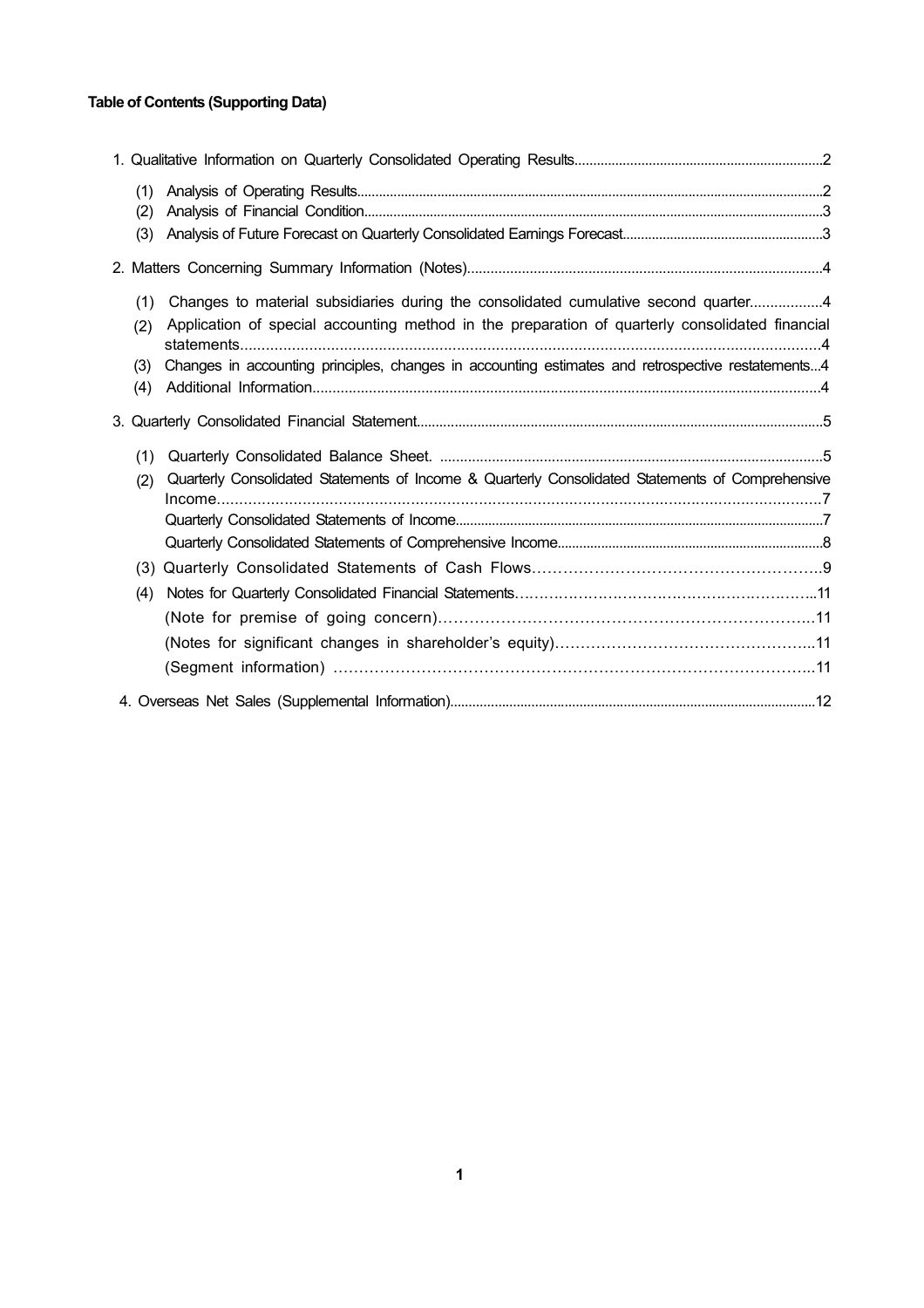## **Table of Contents (Supporting Data)**

| (1)<br>(2)<br>(3)        |                                                                                                                                                                                                                                                                                             |  |
|--------------------------|---------------------------------------------------------------------------------------------------------------------------------------------------------------------------------------------------------------------------------------------------------------------------------------------|--|
|                          |                                                                                                                                                                                                                                                                                             |  |
| (1)<br>(2)<br>(3)<br>(4) | Changes to material subsidiaries during the consolidated cumulative second quarter4<br>Application of special accounting method in the preparation of quarterly consolidated financial<br>Changes in accounting principles, changes in accounting estimates and retrospective restatements4 |  |
|                          |                                                                                                                                                                                                                                                                                             |  |
| (1)<br>(2)<br>(4)        | Quarterly Consolidated Statements of Income & Quarterly Consolidated Statements of Comprehensive                                                                                                                                                                                            |  |
|                          |                                                                                                                                                                                                                                                                                             |  |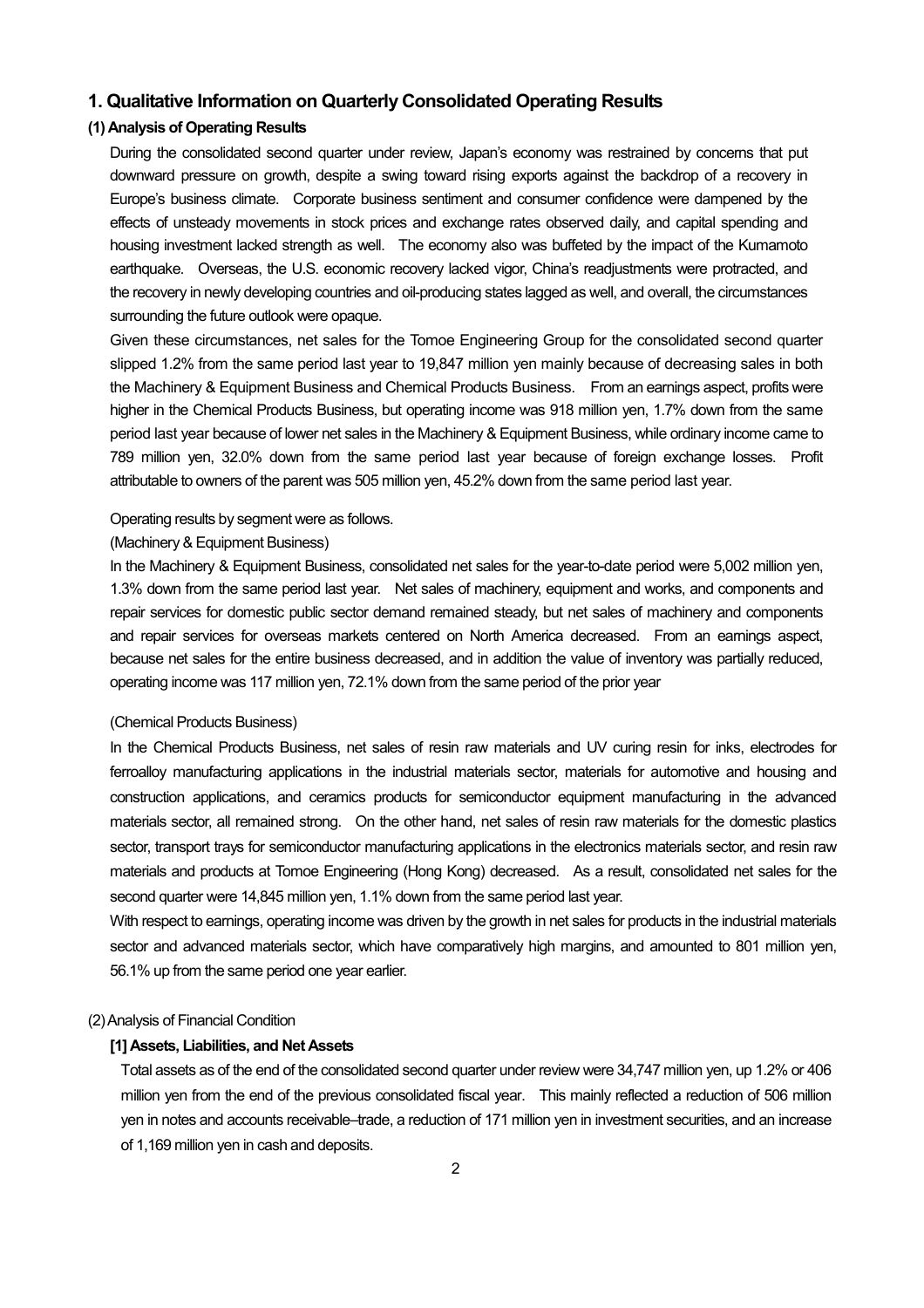## **1. Qualitative Information on Quarterly Consolidated Operating Results**

## **(1) Analysis of Operating Results**

During the consolidated second quarter under review, Japan's economy was restrained by concerns that put downward pressure on growth, despite a swing toward rising exports against the backdrop of a recovery in Europe's business climate. Corporate business sentiment and consumer confidence were dampened by the effects of unsteady movements in stock prices and exchange rates observed daily, and capital spending and housing investment lacked strength as well. The economy also was buffeted by the impact of the Kumamoto earthquake. Overseas, the U.S. economic recovery lacked vigor, China's readjustments were protracted, and the recovery in newly developing countries and oil-producing states lagged as well, and overall, the circumstances surrounding the future outlook were opaque.

Given these circumstances, net sales for the Tomoe Engineering Group for the consolidated second quarter slipped 1.2% from the same period last year to 19,847 million yen mainly because of decreasing sales in both the Machinery & Equipment Business and Chemical Products Business. From an earnings aspect, profits were higher in the Chemical Products Business, but operating income was 918 million yen, 1.7% down from the same period last year because of lower net sales in the Machinery & Equipment Business, while ordinary income came to 789 million yen, 32.0% down from the same period last year because of foreign exchange losses. Profit attributable to owners of the parent was 505 million yen, 45.2% down from the same period last year.

#### Operating results by segment were as follows.

#### (Machinery & Equipment Business)

In the Machinery & Equipment Business, consolidated net sales for the year-to-date period were 5,002 million yen, 1.3% down from the same period last year. Net sales of machinery, equipment and works, and components and repair services for domestic public sector demand remained steady, but net sales of machinery and components and repair services for overseas markets centered on North America decreased. From an earnings aspect, because net sales for the entire business decreased, and in addition the value of inventory was partially reduced, operating income was 117 million yen, 72.1% down from the same period of the prior year

#### (Chemical Products Business)

In the Chemical Products Business, net sales of resin raw materials and UV curing resin for inks, electrodes for ferroalloy manufacturing applications in the industrial materials sector, materials for automotive and housing and construction applications, and ceramics products for semiconductor equipment manufacturing in the advanced materials sector, all remained strong. On the other hand, net sales of resin raw materials for the domestic plastics sector, transport trays for semiconductor manufacturing applications in the electronics materials sector, and resin raw materials and products at Tomoe Engineering (Hong Kong) decreased. As a result, consolidated net sales for the second quarter were 14,845 million yen, 1.1% down from the same period last year.

With respect to earnings, operating income was driven by the growth in net sales for products in the industrial materials sector and advanced materials sector, which have comparatively high margins, and amounted to 801 million yen, 56.1% up from the same period one year earlier.

#### (2) Analysis of Financial Condition

#### **[1] Assets, Liabilities, and Net Assets**

Total assets as of the end of the consolidated second quarter under review were 34,747 million yen, up 1.2% or 406 million yen from the end of the previous consolidated fiscal year. This mainly reflected a reduction of 506 million yen in notes and accounts receivable–trade, a reduction of 171 million yen in investment securities, and an increase of 1,169 million yen in cash and deposits.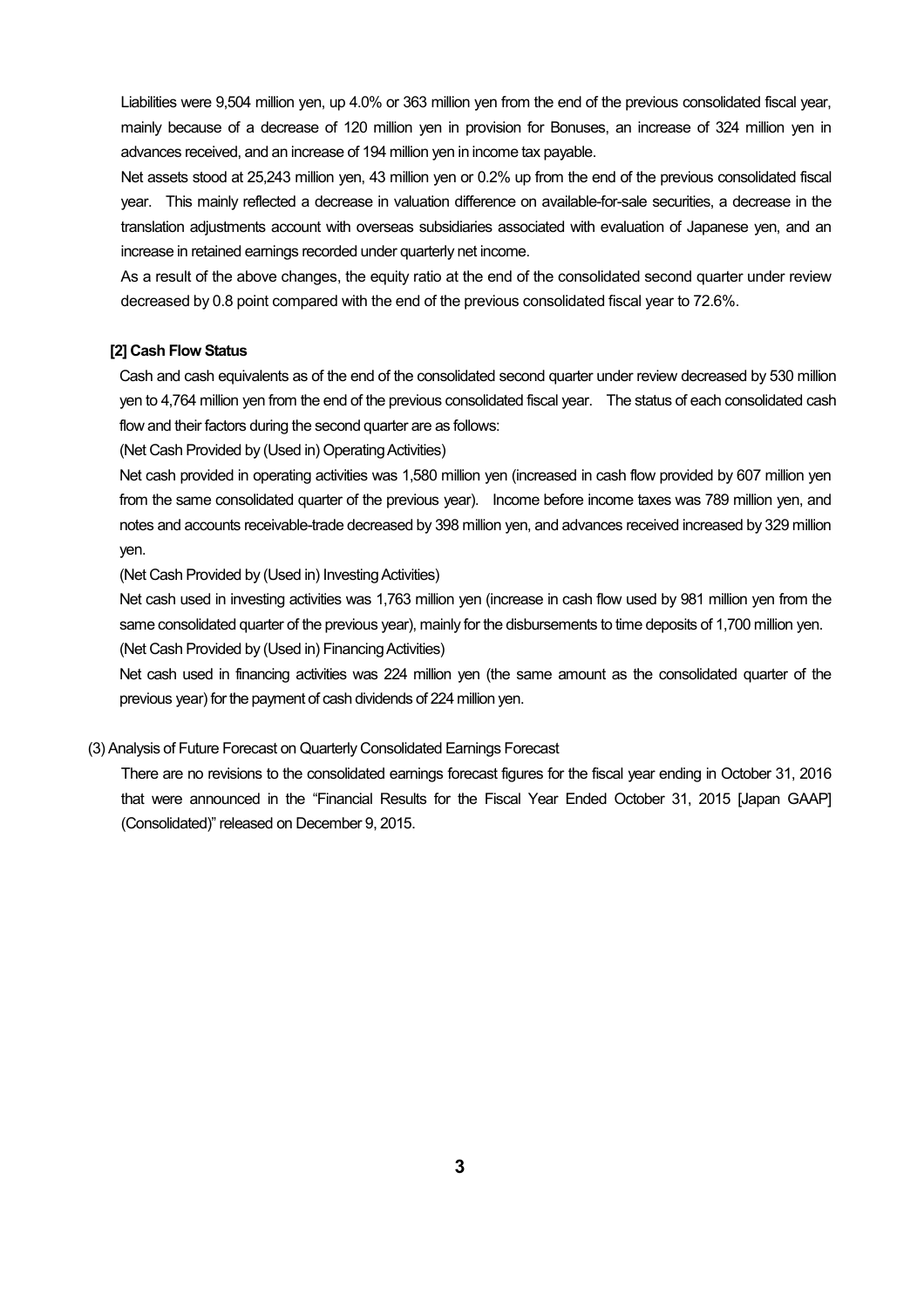Liabilities were 9,504 million yen, up 4.0% or 363 million yen from the end of the previous consolidated fiscal year, mainly because of a decrease of 120 million yen in provision for Bonuses, an increase of 324 million yen in advances received, and an increase of 194 million yen in income tax payable.

Net assets stood at 25,243 million yen, 43 million yen or 0.2% up from the end of the previous consolidated fiscal year. This mainly reflected a decrease in valuation difference on available-for-sale securities, a decrease in the translation adjustments account with overseas subsidiaries associated with evaluation of Japanese yen, and an increase in retained earnings recorded under quarterly net income.

As a result of the above changes, the equity ratio at the end of the consolidated second quarter under review decreased by 0.8 point compared with the end of the previous consolidated fiscal year to 72.6%.

#### **[2] Cash Flow Status**

Cash and cash equivalents as of the end of the consolidated second quarter under review decreased by 530 million yen to 4,764 million yen from the end of the previous consolidated fiscal year. The status of each consolidated cash flow and their factors during the second quarter are as follows:

(Net Cash Provided by (Used in) Operating Activities)

Net cash provided in operating activities was 1,580 million yen (increased in cash flow provided by 607 million yen from the same consolidated quarter of the previous year). Income before income taxes was 789 million yen, and notes and accounts receivable-trade decreased by 398 million yen, and advances received increased by 329 million yen.

(Net Cash Provided by (Used in) Investing Activities)

Net cash used in investing activities was 1,763 million yen (increase in cash flow used by 981 million yen from the same consolidated quarter of the previous year), mainly for the disbursements to time deposits of 1,700 million yen. (Net Cash Provided by (Used in) Financing Activities)

Net cash used in financing activities was 224 million yen (the same amount as the consolidated quarter of the previous year) for the payment of cash dividends of 224 million yen.

#### (3) Analysis of Future Forecast on Quarterly Consolidated Earnings Forecast

There are no revisions to the consolidated earnings forecast figures for the fiscal year ending in October 31, 2016 that were announced in the "Financial Results for the Fiscal Year Ended October 31, 2015 [Japan GAAP] (Consolidated)" released on December 9, 2015.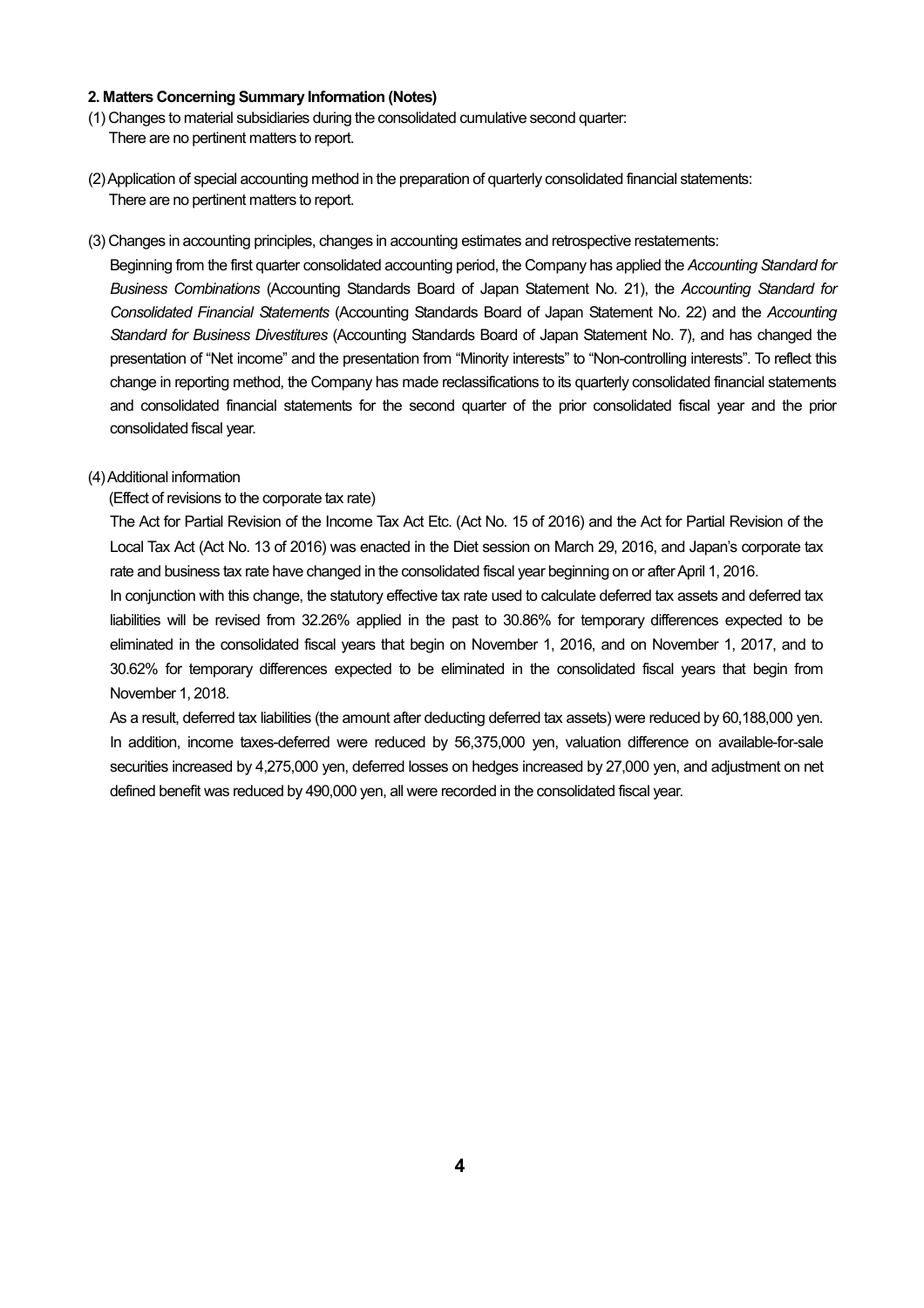#### **2. Matters Concerning Summary Information (Notes)**

- (1) Changes to material subsidiaries during the consolidated cumulative second quarter: There are no pertinent matters to report.
- (2) Application of special accounting method in the preparation of quarterly consolidated financial statements: There are no pertinent matters to report.
- (3) Changes in accounting principles, changes in accounting estimates and retrospective restatements:

Beginning from the first quarter consolidated accounting period, the Company has applied the *Accounting Standard for Business Combinations* (Accounting Standards Board of Japan Statement No. 21), the *Accounting Standard for Consolidated Financial Statements* (Accounting Standards Board of Japan Statement No. 22) and the *Accounting Standard for Business Divestitures* (Accounting Standards Board of Japan Statement No. 7), and has changed the presentation of "Net income" and the presentation from "Minority interests" to "Non-controlling interests". To reflect this change in reporting method, the Company has made reclassifications to its quarterly consolidated financial statements and consolidated financial statements for the second quarter of the prior consolidated fiscal year and the prior consolidated fiscal year.

#### (4) Additional information

(Effect of revisions to the corporate tax rate)

The Act for Partial Revision of the Income Tax Act Etc. (Act No. 15 of 2016) and the Act for Partial Revision of the Local Tax Act (Act No. 13 of 2016) was enacted in the Diet session on March 29, 2016, and Japan's corporate tax rate and business tax rate have changed in the consolidated fiscal year beginning on or after April 1, 2016.

In conjunction with this change, the statutory effective tax rate used to calculate deferred tax assets and deferred tax liabilities will be revised from 32.26% applied in the past to 30.86% for temporary differences expected to be eliminated in the consolidated fiscal years that begin on November 1, 2016, and on November 1, 2017, and to 30.62% for temporary differences expected to be eliminated in the consolidated fiscal years that begin from November 1, 2018.

As a result, deferred tax liabilities (the amount after deducting deferred tax assets) were reduced by 60,188,000 yen. In addition, income taxes-deferred were reduced by 56,375,000 yen, valuation difference on available-for-sale securities increased by 4,275,000 yen, deferred losses on hedges increased by 27,000 yen, and adjustment on net defined benefit was reduced by 490,000 yen, all were recorded in the consolidated fiscal year.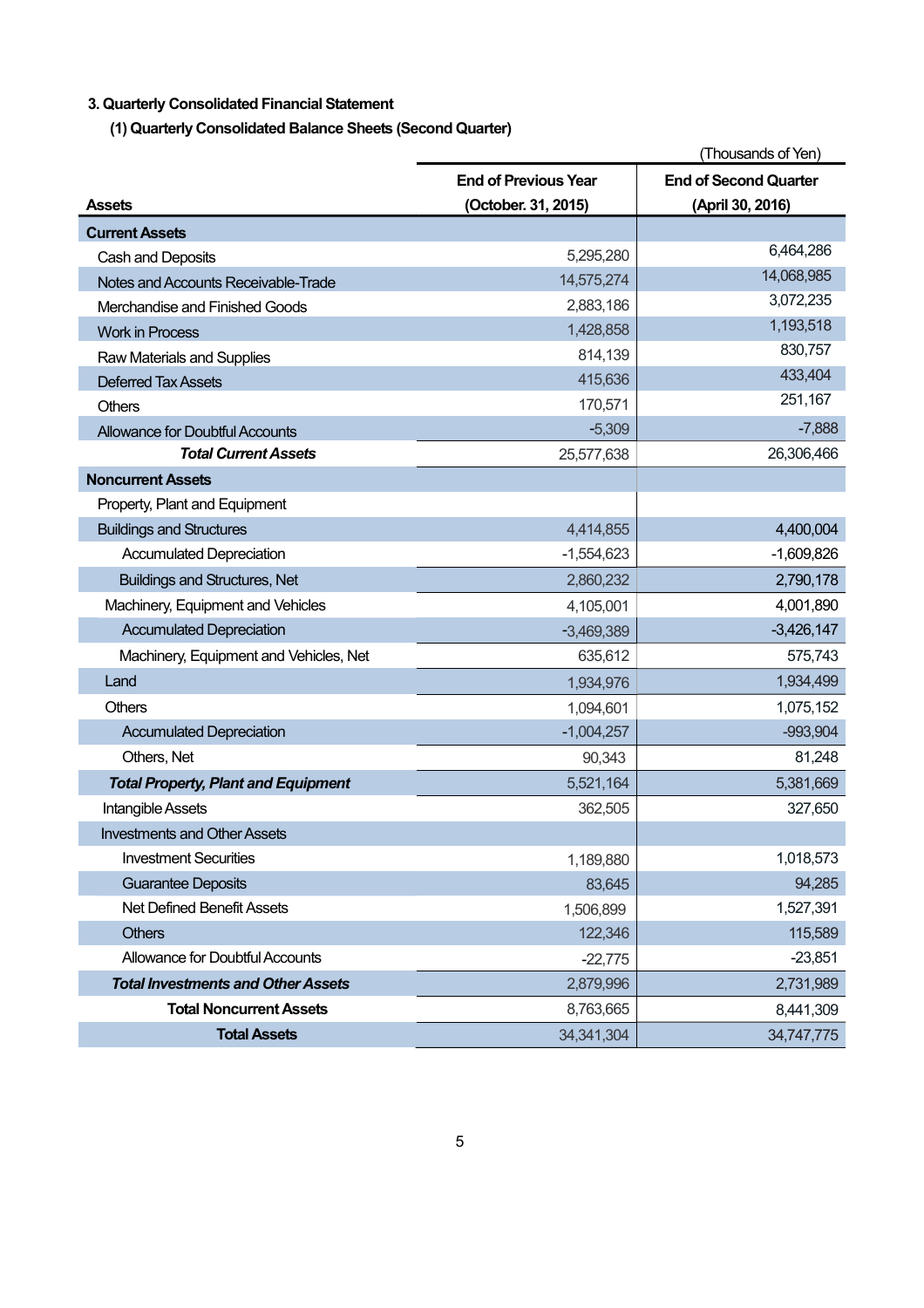## **3. Quarterly Consolidated Financial Statement**

**(1) Quarterly Consolidated Balance Sheets (Second Quarter)** 

|                                            |                             | (Thousands of Yen)           |
|--------------------------------------------|-----------------------------|------------------------------|
|                                            | <b>End of Previous Year</b> | <b>End of Second Quarter</b> |
| <b>Assets</b>                              | (October. 31, 2015)         | (April 30, 2016)             |
| <b>Current Assets</b>                      |                             |                              |
| Cash and Deposits                          | 5,295,280                   | 6,464,286                    |
| Notes and Accounts Receivable-Trade        | 14,575,274                  | 14,068,985                   |
| Merchandise and Finished Goods             | 2,883,186                   | 3,072,235                    |
| <b>Work in Process</b>                     | 1,428,858                   | 1,193,518                    |
| Raw Materials and Supplies                 | 814,139                     | 830,757                      |
| <b>Deferred Tax Assets</b>                 | 415,636                     | 433,404                      |
| <b>Others</b>                              | 170,571                     | 251,167                      |
| <b>Allowance for Doubtful Accounts</b>     | $-5,309$                    | $-7,888$                     |
| <b>Total Current Assets</b>                | 25,577,638                  | 26,306,466                   |
| <b>Noncurrent Assets</b>                   |                             |                              |
| Property, Plant and Equipment              |                             |                              |
| <b>Buildings and Structures</b>            | 4,414,855                   | 4,400,004                    |
| <b>Accumulated Depreciation</b>            | $-1,554,623$                | $-1,609,826$                 |
| <b>Buildings and Structures, Net</b>       | 2,860,232                   | 2,790,178                    |
| Machinery, Equipment and Vehicles          | 4,105,001                   | 4,001,890                    |
| <b>Accumulated Depreciation</b>            | $-3,469,389$                | $-3,426,147$                 |
| Machinery, Equipment and Vehicles, Net     | 635,612                     | 575,743                      |
| Land                                       | 1,934,976                   | 1,934,499                    |
| <b>Others</b>                              | 1,094,601                   | 1,075,152                    |
| <b>Accumulated Depreciation</b>            | $-1,004,257$                | $-993,904$                   |
| Others, Net                                | 90,343                      | 81,248                       |
| <b>Total Property, Plant and Equipment</b> | 5,521,164                   | 5,381,669                    |
| <b>Intangible Assets</b>                   | 362,505                     | 327,650                      |
| <b>Investments and Other Assets</b>        |                             |                              |
| <b>Investment Securities</b>               | 1,189,880                   | 1,018,573                    |
| <b>Guarantee Deposits</b>                  | 83,645                      | 94,285                       |
| Net Defined Benefit Assets                 | 1,506,899                   | 1,527,391                    |
| <b>Others</b>                              | 122,346                     | 115,589                      |
| <b>Allowance for Doubtful Accounts</b>     | $-22,775$                   | $-23,851$                    |
| <b>Total Investments and Other Assets</b>  | 2,879,996                   | 2,731,989                    |
| <b>Total Noncurrent Assets</b>             | 8,763,665                   | 8,441,309                    |
| <b>Total Assets</b>                        | 34, 341, 304                | 34,747,775                   |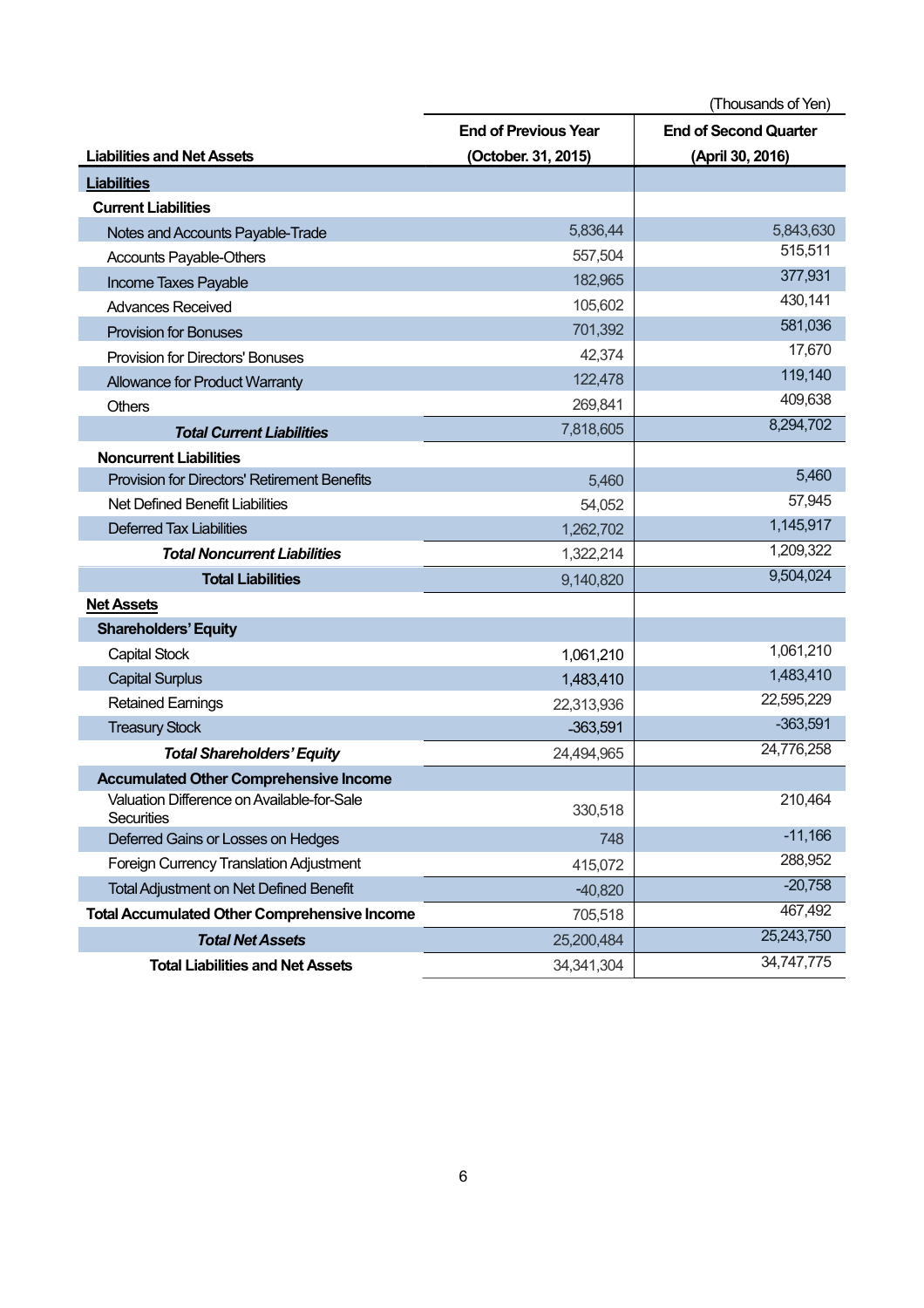(Thousands of Yen) **Liabilities and Net Assets End of Previous Year (October. 31, 2015) End of Second Quarter (April 30, 2016) Liabilities Current Liabilities**  Notes and Accounts Payable-Trade 5,836,44 5,836,44 5,843,630<br>Accounts Davable Others 6 5,843,630 557 504 557 504 557 504 557 504 557 517 517 Accounts Payable-Others 557,504 Income Taxes Payable 277,931 Advances Received **105,602** 430,141 Provision for Bonuses 581,036<br>
Provision for Bonuses 581,036<br>
Provision for Piscotom! Popuses 681,036 Provision for Directors' Bonuses 42,374 Allowance for Product Warranty 122,478 122,478 119,140<br>
Channel 260 841 209.638 Others 269,841 269,841 269,841 269,841 269,841 269,841 269,841 269,841 269,841 269,638 **Total Current Liabilities** 8,294,702 **Noncurrent Liabilities**  Provision for Directors' Retirement Benefits 5,460 5,460 5,460 5,460 5,460 5,460 5,460 5,460 5,460 5,460 5,460 Net Defined Benefit Liabilities 57,945 Deferred Tax Liabilities 1,262,702 1,145,917 **Total Noncurrent Liabilities** 1,322,214 1,322,214 1,209,322 **Total Liabilities** 8,504,024 **Net Assets Shareholders' Equity**  Capital Stock 1,061,210 1,061,210 Capital Surplus 1,483,410 1,483,410 1,483,410 1,483,410 1,483,410 1,483,410 1,483,410 1,483,410 1,483,410 1,483,410 Retained Earnings 22,313,936 22,313,936 22,595,229  $T$ reasury Stock  $-363,591$   $-363,591$ *Total Shareholders' Equity* 24,494,965 24,776,258 **Accumulated Other Comprehensive Income**  Valuation Difference on Available-for-Sale Securities 330,518 210,464 Deferred Gains or Losses on Hedges 748 -11,166 Foreign Currency Translation Adjustment 415,072 415,072 Total Adjustment on Net Defined Benefit and The Contract of the Contract of the Contract of the Contract of the Contract of the Contract of the Contract of the Contract of the Contract of the Contract of the Contract of th **Total Accumulated Other Comprehensive Income** 705,518 705,518 *Total Net Assets* 25,200,484 25,243,750 **Total Liabilities and Net Assets** 34,341,304 34,747,775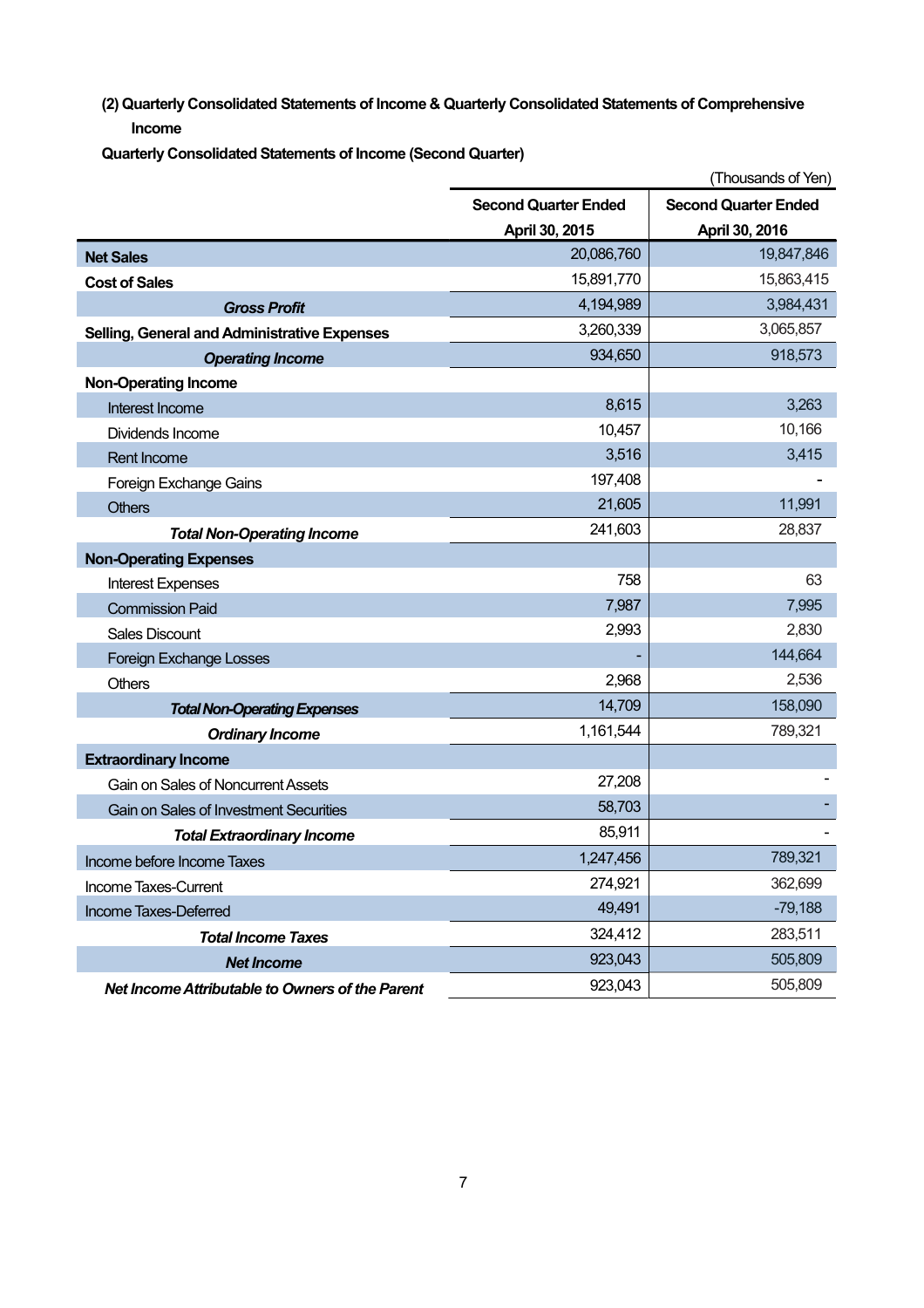**(2) Quarterly Consolidated Statements of Income & Quarterly Consolidated Statements of Comprehensive Income** 

**Quarterly Consolidated Statements of Income (Second Quarter)** 

|                                                 |                             | (Thousands of Yen)          |
|-------------------------------------------------|-----------------------------|-----------------------------|
|                                                 | <b>Second Quarter Ended</b> | <b>Second Quarter Ended</b> |
|                                                 | April 30, 2015              | April 30, 2016              |
| <b>Net Sales</b>                                | 20,086,760                  | 19,847,846                  |
| <b>Cost of Sales</b>                            | 15,891,770                  | 15,863,415                  |
| <b>Gross Profit</b>                             | 4,194,989                   | 3,984,431                   |
| Selling, General and Administrative Expenses    | 3,260,339                   | 3,065,857                   |
| <b>Operating Income</b>                         | 934,650                     | 918,573                     |
| <b>Non-Operating Income</b>                     |                             |                             |
| Interest Income                                 | 8,615                       | 3,263                       |
| Dividends Income                                | 10,457                      | 10,166                      |
| Rent Income                                     | 3,516                       | 3,415                       |
| Foreign Exchange Gains                          | 197,408                     |                             |
| <b>Others</b>                                   | 21,605                      | 11,991                      |
| <b>Total Non-Operating Income</b>               | 241,603                     | 28,837                      |
| <b>Non-Operating Expenses</b>                   |                             |                             |
| <b>Interest Expenses</b>                        | 758                         | 63                          |
| <b>Commission Paid</b>                          | 7,987                       | 7,995                       |
| <b>Sales Discount</b>                           | 2,993                       | 2,830                       |
| <b>Foreign Exchange Losses</b>                  |                             | 144,664                     |
| Others                                          | 2,968                       | 2,536                       |
| <b>Total Non-Operating Expenses</b>             | 14,709                      | 158,090                     |
| <b>Ordinary Income</b>                          | 1,161,544                   | 789,321                     |
| <b>Extraordinary Income</b>                     |                             |                             |
| Gain on Sales of Noncurrent Assets              | 27,208                      |                             |
| Gain on Sales of Investment Securities          | 58,703                      |                             |
| <b>Total Extraordinary Income</b>               | 85,911                      |                             |
| Income before Income Taxes                      | 1,247,456                   | 789,321                     |
| Income Taxes-Current                            | 274,921                     | 362,699                     |
| Income Taxes-Deferred                           | 49,491                      | $-79,188$                   |
| <b>Total Income Taxes</b>                       | 324,412                     | 283,511                     |
| <b>Net Income</b>                               | 923,043                     | 505,809                     |
| Net Income Attributable to Owners of the Parent | 923,043                     | 505,809                     |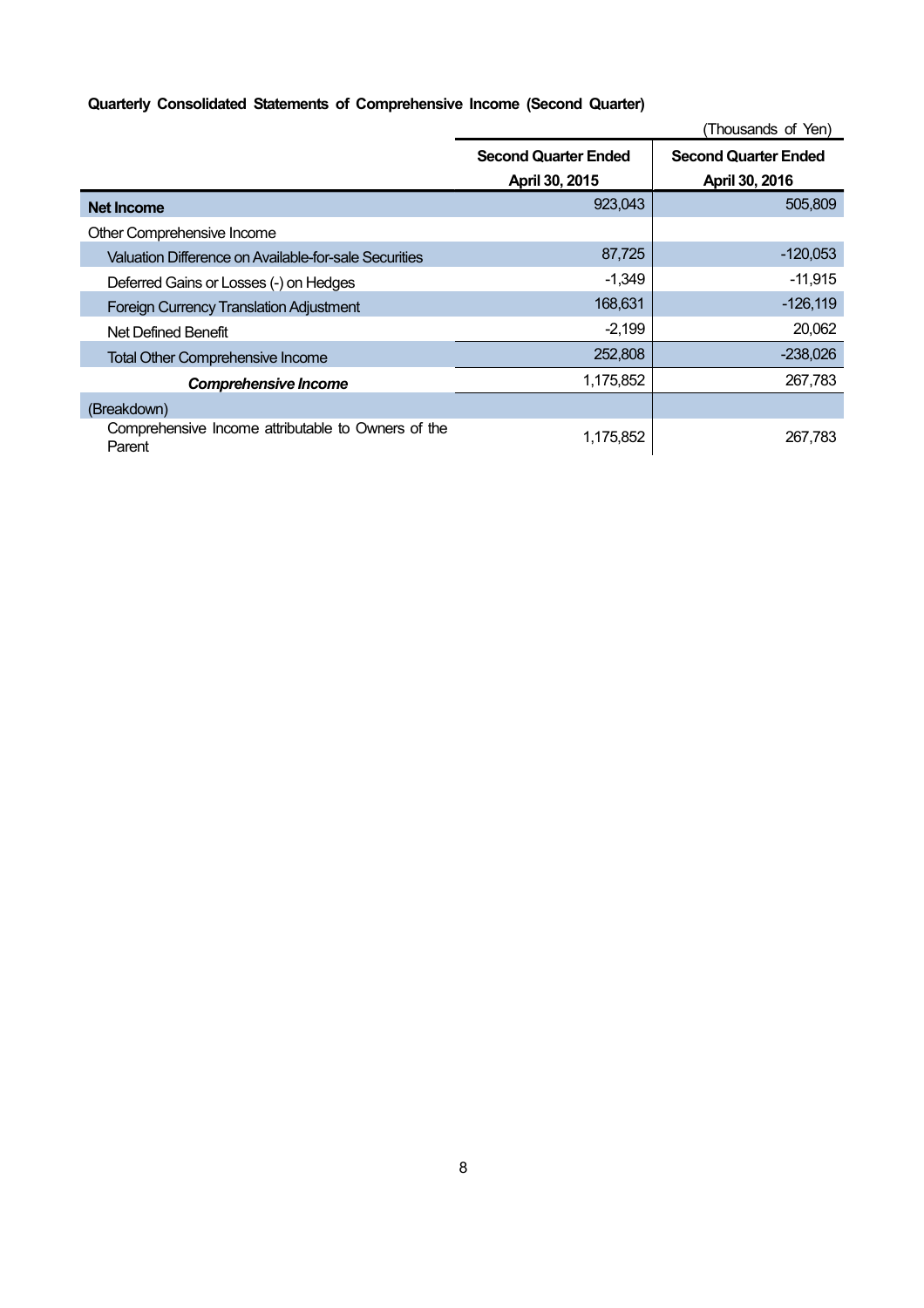## **Quarterly Consolidated Statements of Comprehensive Income (Second Quarter)**

|                                                              |                             | (Thousands of Yen)          |
|--------------------------------------------------------------|-----------------------------|-----------------------------|
|                                                              | <b>Second Quarter Ended</b> | <b>Second Quarter Ended</b> |
|                                                              | April 30, 2015              | April 30, 2016              |
| <b>Net Income</b>                                            | 923,043                     | 505,809                     |
| Other Comprehensive Income                                   |                             |                             |
| Valuation Difference on Available-for-sale Securities        | 87,725                      | $-120,053$                  |
| Deferred Gains or Losses (-) on Hedges                       | $-1,349$                    | $-11,915$                   |
| <b>Foreign Currency Translation Adjustment</b>               | 168,631                     | $-126,119$                  |
| Net Defined Benefit                                          | $-2,199$                    | 20,062                      |
| <b>Total Other Comprehensive Income</b>                      | 252,808                     | $-238,026$                  |
| <b>Comprehensive Income</b>                                  | 1,175,852                   | 267,783                     |
| (Breakdown)                                                  |                             |                             |
| Comprehensive Income attributable to Owners of the<br>Parent | 1,175,852                   | 267.783                     |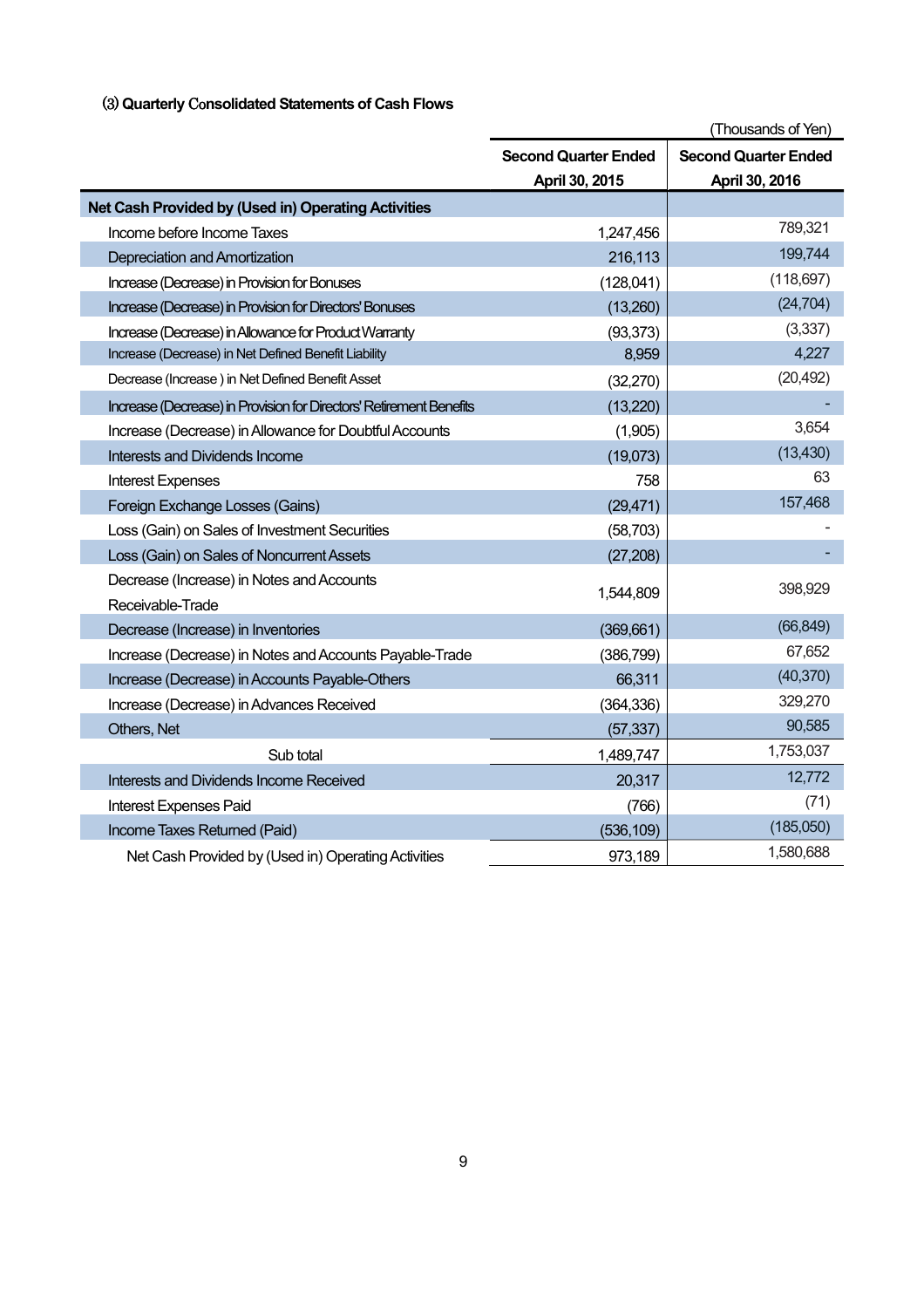## (3) **Quarterly** Co**nsolidated Statements of Cash Flows**

|                                                                     |                             | (Thousands of Yen)          |
|---------------------------------------------------------------------|-----------------------------|-----------------------------|
|                                                                     | <b>Second Quarter Ended</b> | <b>Second Quarter Ended</b> |
|                                                                     | April 30, 2015              | April 30, 2016              |
| Net Cash Provided by (Used in) Operating Activities                 |                             |                             |
| Income before Income Taxes                                          | 1,247,456                   | 789,321                     |
| Depreciation and Amortization                                       | 216,113                     | 199,744                     |
| Increase (Decrease) in Provision for Bonuses                        | (128,041)                   | (118, 697)                  |
| Increase (Decrease) in Provision for Directors' Bonuses             | (13,260)                    | (24, 704)                   |
| Increase (Decrease) in Allowance for Product Warranty               | (93, 373)                   | (3,337)                     |
| Increase (Decrease) in Net Defined Benefit Liability                | 8,959                       | 4,227                       |
| Decrease (Increase) in Net Defined Benefit Asset                    | (32, 270)                   | (20, 492)                   |
| Increase (Decrease) in Provision for Directors' Retirement Benefits | (13, 220)                   |                             |
| Increase (Decrease) in Allowance for Doubtful Accounts              | (1,905)                     | 3,654                       |
| <b>Interests and Dividends Income</b>                               | (19,073)                    | (13, 430)                   |
| <b>Interest Expenses</b>                                            | 758                         | 63                          |
| Foreign Exchange Losses (Gains)                                     | (29, 471)                   | 157,468                     |
| Loss (Gain) on Sales of Investment Securities                       | (58, 703)                   |                             |
| Loss (Gain) on Sales of Noncurrent Assets                           | (27, 208)                   |                             |
| Decrease (Increase) in Notes and Accounts                           |                             | 398,929                     |
| Receivable-Trade                                                    | 1,544,809                   |                             |
| Decrease (Increase) in Inventories                                  | (369, 661)                  | (66, 849)                   |
| Increase (Decrease) in Notes and Accounts Payable-Trade             | (386, 799)                  | 67,652                      |
| Increase (Decrease) in Accounts Payable-Others                      | 66,311                      | (40, 370)                   |
| Increase (Decrease) in Advances Received                            | (364, 336)                  | 329,270                     |
| Others, Net                                                         | (57, 337)                   | 90,585                      |
| Sub total                                                           | 1,489,747                   | 1,753,037                   |
| Interests and Dividends Income Received                             | 20,317                      | 12,772                      |
| <b>Interest Expenses Paid</b>                                       | (766)                       | (71)                        |
| Income Taxes Returned (Paid)                                        | (536, 109)                  | (185,050)                   |
| Net Cash Provided by (Used in) Operating Activities                 | 973,189                     | 1,580,688                   |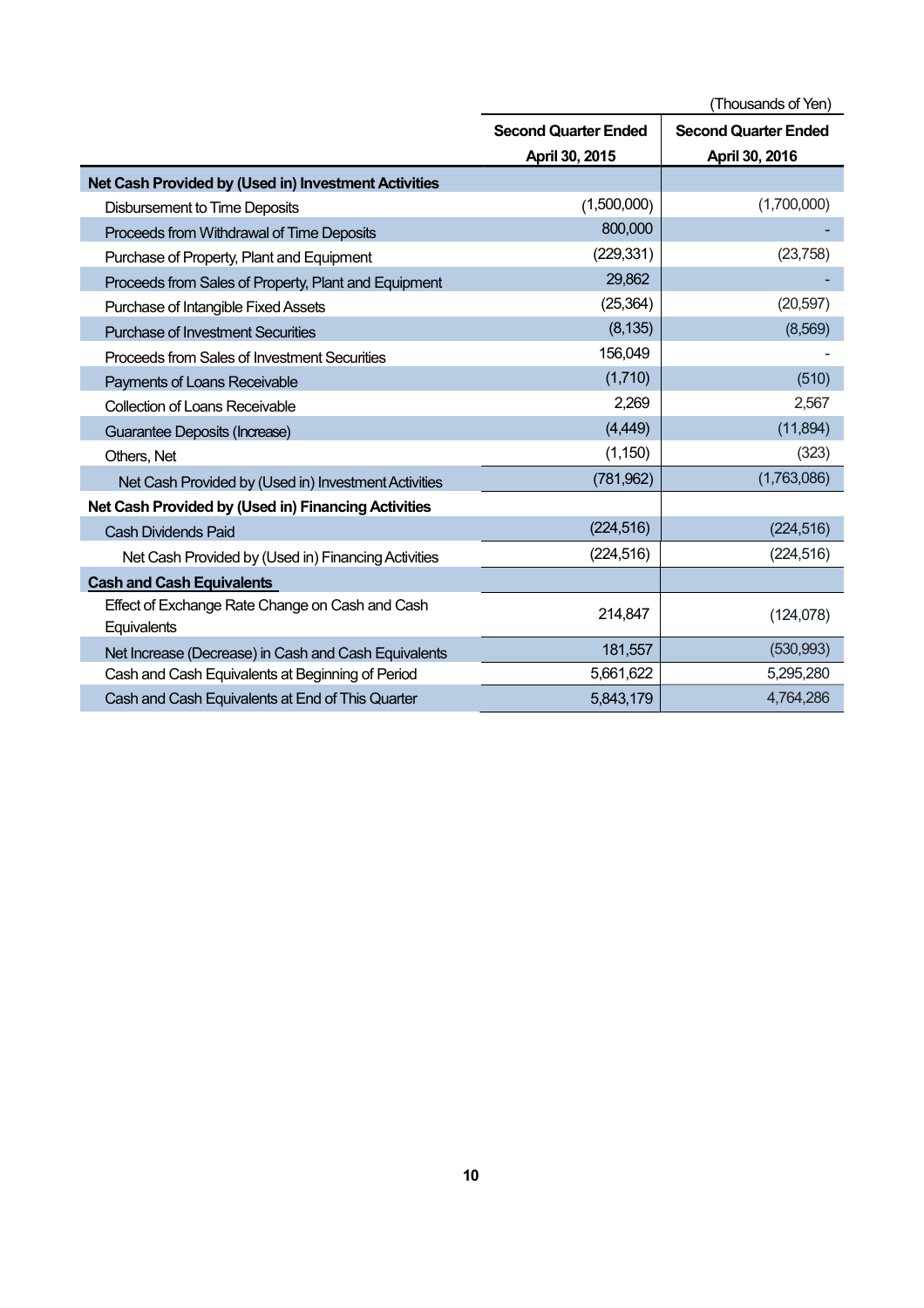|                                                                |                             | (Thousands of Yen)          |
|----------------------------------------------------------------|-----------------------------|-----------------------------|
|                                                                | <b>Second Quarter Ended</b> | <b>Second Quarter Ended</b> |
|                                                                | April 30, 2015              | April 30, 2016              |
| Net Cash Provided by (Used in) Investment Activities           |                             |                             |
| <b>Disbursement to Time Deposits</b>                           | (1,500,000)                 | (1,700,000)                 |
| Proceeds from Withdrawal of Time Deposits                      | 800,000                     |                             |
| Purchase of Property, Plant and Equipment                      | (229, 331)                  | (23, 758)                   |
| Proceeds from Sales of Property, Plant and Equipment           | 29,862                      |                             |
| Purchase of Intangible Fixed Assets                            | (25, 364)                   | (20, 597)                   |
| <b>Purchase of Investment Securities</b>                       | (8, 135)                    | (8,569)                     |
| Proceeds from Sales of Investment Securities                   | 156,049                     |                             |
| Payments of Loans Receivable                                   | (1,710)                     | (510)                       |
| <b>Collection of Loans Receivable</b>                          | 2,269                       | 2,567                       |
| Guarantee Deposits (Increase)                                  | (4, 449)                    | (11, 894)                   |
| Others, Net                                                    | (1, 150)                    | (323)                       |
| Net Cash Provided by (Used in) Investment Activities           | (781, 962)                  | (1,763,086)                 |
| Net Cash Provided by (Used in) Financing Activities            |                             |                             |
| <b>Cash Dividends Paid</b>                                     | (224, 516)                  | (224, 516)                  |
| Net Cash Provided by (Used in) Financing Activities            | (224, 516)                  | (224, 516)                  |
| <b>Cash and Cash Equivalents</b>                               |                             |                             |
| Effect of Exchange Rate Change on Cash and Cash<br>Equivalents | 214,847                     | (124, 078)                  |
| Net Increase (Decrease) in Cash and Cash Equivalents           | 181,557                     | (530, 993)                  |
| Cash and Cash Equivalents at Beginning of Period               | 5,661,622                   | 5,295,280                   |
| Cash and Cash Equivalents at End of This Quarter               | 5,843,179                   | 4,764,286                   |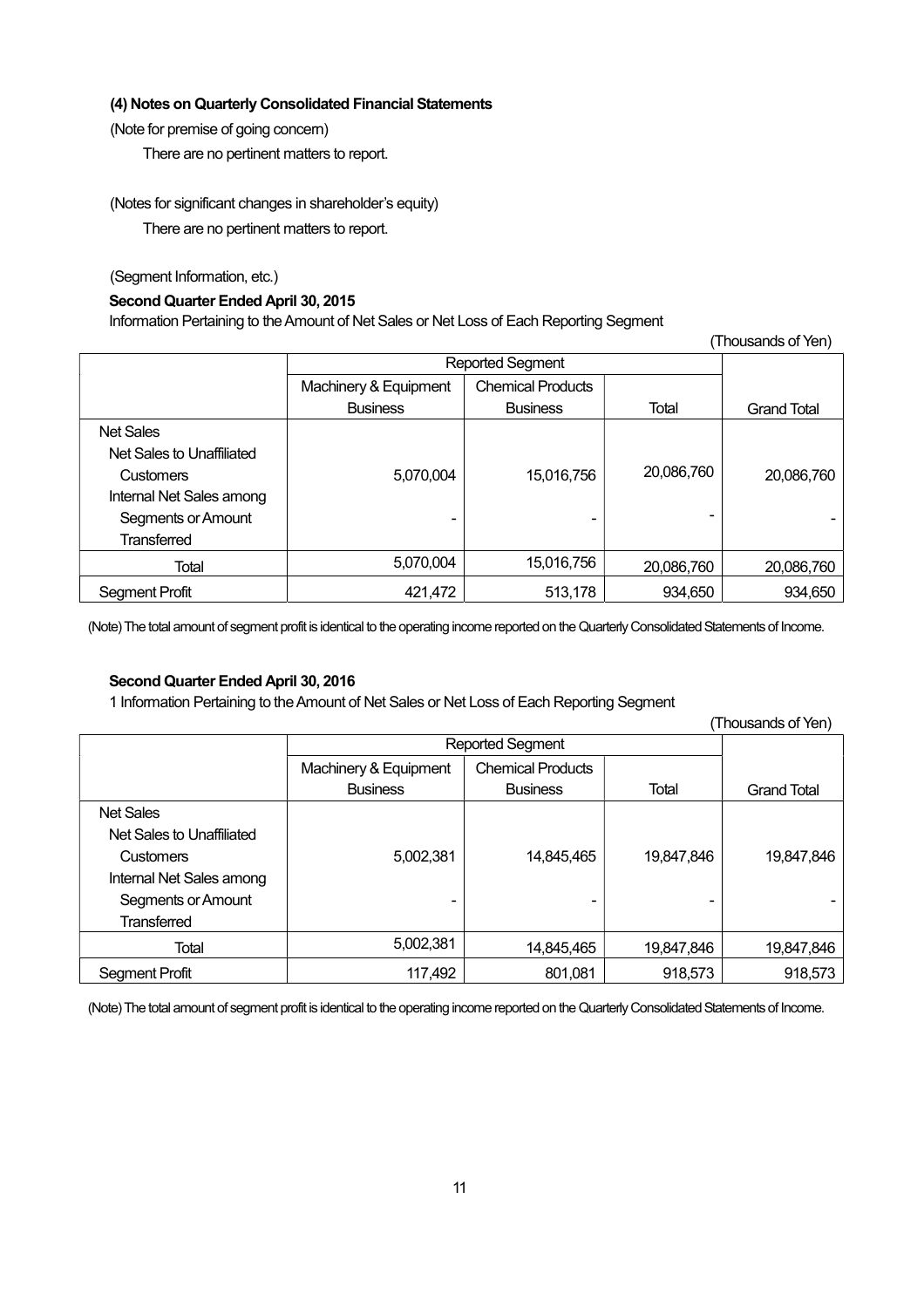## **(4) Notes on Quarterly Consolidated Financial Statements**

(Note for premise of going concern)

There are no pertinent matters to report.

(Notes for significant changes in shareholder's equity)

There are no pertinent matters to report.

(Segment Information, etc.)

## **Second Quarter Ended April 30, 2015**

Information Pertaining to the Amount of Net Sales or Net Loss of Each Reporting Segment

| (Thousands of Yen)        |                         |                          |            |                    |
|---------------------------|-------------------------|--------------------------|------------|--------------------|
|                           | <b>Reported Segment</b> |                          |            |                    |
|                           | Machinery & Equipment   | <b>Chemical Products</b> |            |                    |
|                           | <b>Business</b>         | <b>Business</b>          | Total      | <b>Grand Total</b> |
| <b>Net Sales</b>          |                         |                          |            |                    |
| Net Sales to Unaffiliated |                         |                          |            |                    |
| <b>Customers</b>          | 5,070,004               | 15,016,756               | 20,086,760 | 20,086,760         |
| Internal Net Sales among  |                         |                          |            |                    |
| Segments or Amount        |                         |                          |            |                    |
| <b>Transferred</b>        |                         |                          |            |                    |
| Total                     | 5,070,004               | 15,016,756               | 20,086,760 | 20,086,760         |
| <b>Segment Profit</b>     | 421,472                 | 513,178                  | 934,650    | 934,650            |

(Note) The total amount of segment profit is identical to the operating income reported on the Quarterly Consolidated Statements of Income.

## **Second Quarter Ended April 30, 2016**

1 Information Pertaining to the Amount of Net Sales or Net Loss of Each Reporting Segment

|                           |                         |                          |            | (Thousands of Yen) |
|---------------------------|-------------------------|--------------------------|------------|--------------------|
|                           | <b>Reported Segment</b> |                          |            |                    |
|                           | Machinery & Equipment   | <b>Chemical Products</b> |            |                    |
|                           | <b>Business</b>         | <b>Business</b>          | Total      | <b>Grand Total</b> |
| <b>Net Sales</b>          |                         |                          |            |                    |
| Net Sales to Unaffiliated |                         |                          |            |                    |
| <b>Customers</b>          | 5,002,381               | 14,845,465               | 19,847,846 | 19,847,846         |
| Internal Net Sales among  |                         |                          |            |                    |
| Segments or Amount        |                         |                          |            |                    |
| <b>Transferred</b>        |                         |                          |            |                    |
| Total                     | 5,002,381               | 14,845,465               | 19,847,846 | 19,847,846         |
| <b>Segment Profit</b>     | 117,492                 | 801,081                  | 918,573    | 918,573            |

(Note) The total amount of segment profit is identical to the operating income reported on the Quarterly Consolidated Statements of Income.